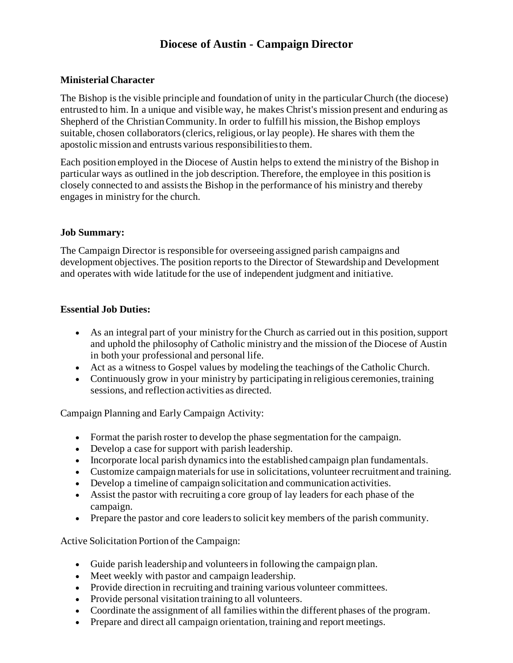# **Diocese of Austin - [Campaign Director](https://austindiocese.isolvedhire.com/jobs/620830.html)**

### **Ministerial Character**

The Bishop is the visible principle and foundation of unity in the particular Church (the diocese) entrusted to him. In a unique and visible way, he makes Christ's mission present and enduring as Shepherd of the Christian Community. In order to fulfill his mission, the Bishop employs suitable, chosen collaborators (clerics, religious, or lay people). He shares with them the apostolic mission and entrusts various responsibilities to them.

Each position employed in the Diocese of Austin helps to extend the ministry of the Bishop in particular ways as outlined in the job description. Therefore, the employee in this position is closely connected to and assists the Bishop in the performance of his ministry and thereby engages in ministry for the church.

#### **Job Summary:**

The Campaign Director is responsible for overseeing assigned parish campaigns and development objectives. The position reports to the Director of Stewardship and Development and operates with wide latitude for the use of independent judgment and initiative.

### **Essential Job Duties:**

- As an integral part of your ministry for the Church as carried out in this position, support and uphold the philosophy of Catholic ministry and the mission of the Diocese of Austin in both your professional and personal life.
- Act as a witness to Gospel values by modeling the teachings of the Catholic Church.
- Continuously grow in your ministry by participating in religious ceremonies, training sessions, and reflection activities as directed.

Campaign Planning and Early Campaign Activity:

- Format the parish roster to develop the phase segmentation for the campaign.
- Develop a case for support with parish leadership.
- Incorporate local parish dynamics into the established campaign plan fundamentals.
- Customize campaign materials for use in solicitations, volunteer recruitment and training.
- Develop a timeline of campaign solicitation and communication activities.
- Assist the pastor with recruiting a core group of lay leaders for each phase of the campaign.
- Prepare the pastor and core leaders to solicit key members of the parish community.

Active Solicitation Portion of the Campaign:

- Guide parish leadership and volunteers in following the campaign plan.
- Meet weekly with pastor and campaign leadership.
- Provide direction in recruiting and training various volunteer committees.
- Provide personal visitation training to all volunteers.
- Coordinate the assignment of all families within the different phases of the program.
- Prepare and direct all campaign orientation, training and report meetings.